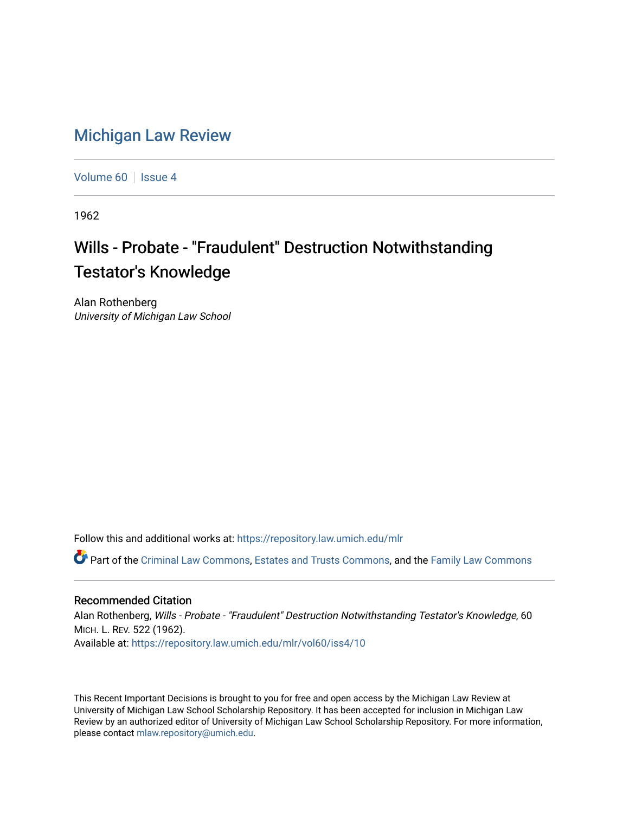## [Michigan Law Review](https://repository.law.umich.edu/mlr)

[Volume 60](https://repository.law.umich.edu/mlr/vol60) | [Issue 4](https://repository.law.umich.edu/mlr/vol60/iss4)

1962

## Wills - Probate - "Fraudulent" Destruction Notwithstanding **Testator's Knowledge**

Alan Rothenberg University of Michigan Law School

Follow this and additional works at: [https://repository.law.umich.edu/mlr](https://repository.law.umich.edu/mlr?utm_source=repository.law.umich.edu%2Fmlr%2Fvol60%2Fiss4%2F10&utm_medium=PDF&utm_campaign=PDFCoverPages) 

Part of the [Criminal Law Commons,](http://network.bepress.com/hgg/discipline/912?utm_source=repository.law.umich.edu%2Fmlr%2Fvol60%2Fiss4%2F10&utm_medium=PDF&utm_campaign=PDFCoverPages) [Estates and Trusts Commons](http://network.bepress.com/hgg/discipline/906?utm_source=repository.law.umich.edu%2Fmlr%2Fvol60%2Fiss4%2F10&utm_medium=PDF&utm_campaign=PDFCoverPages), and the [Family Law Commons](http://network.bepress.com/hgg/discipline/602?utm_source=repository.law.umich.edu%2Fmlr%2Fvol60%2Fiss4%2F10&utm_medium=PDF&utm_campaign=PDFCoverPages) 

## Recommended Citation

Alan Rothenberg, Wills - Probate - "Fraudulent" Destruction Notwithstanding Testator's Knowledge, 60 MICH. L. REV. 522 (1962). Available at: [https://repository.law.umich.edu/mlr/vol60/iss4/10](https://repository.law.umich.edu/mlr/vol60/iss4/10?utm_source=repository.law.umich.edu%2Fmlr%2Fvol60%2Fiss4%2F10&utm_medium=PDF&utm_campaign=PDFCoverPages) 

This Recent Important Decisions is brought to you for free and open access by the Michigan Law Review at University of Michigan Law School Scholarship Repository. It has been accepted for inclusion in Michigan Law Review by an authorized editor of University of Michigan Law School Scholarship Repository. For more information, please contact [mlaw.repository@umich.edu.](mailto:mlaw.repository@umich.edu)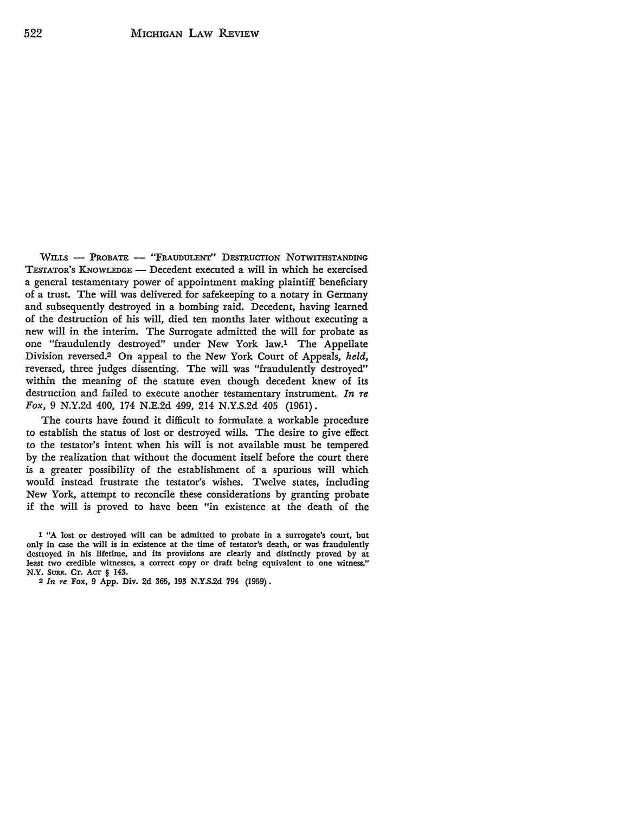WILLS - PROBATE - "FRAUDULENT" DESTRUCTION NOTWITHSTANDING TESTAToR's K.NowLEDGE - Decedent executed a will in which he exercised a general testamentary power of appointment making plaintiff beneficiary of a trust. The will was delivered for safekeeping to a notary in Germany and subsequently destroyed in a bombing raid. Decedent, having learned of the destruction of his will, died ten months later without executing a new will in the interim. The Surrogate admitted the will for probate as one "fraudulently destroyed" under New York law.1 The Appellate Division reversed.2 On appeal to the New York Court of Appeals, *held,*  reversed, three judges dissenting. The will was "fraudulently destroyed" within the meaning of the statute even though decedent knew of its destruction and failed to execute another testamentary instrument. *In re Fox,* 9 N.Y.2d *400,* 174 N.E.2d *499,* 214 N.Y.S.2d 405 (1961).

The courts have found it difficult to formulate a workable procedure to establish the status of lost or destroyed wills. The desire to give effect to the testator's intent when his will is not available must be tempered by the realization that without the document itself before the court there is a greater possibility of the establishment of a spurious will which would instead frustrate the testator's wishes. Twelve states, including New York, attempt to reconcile these considerations by granting probate if the will is proved to have been "in existence at the death of the

<sup>1 &</sup>quot;A lost or destroyed will can be admitted to probate in a surrogate's court, but only in case the will is in existence at the time of testator's death, or was fraudulently destroyed in his lifetime, and its provisions are clearly and distinctly proved by at least two credible witnesses, a correct copy or draft being equivalent to one witness." N.Y. SuRR. Cr. Acr § 143.

<sup>2</sup> *In re* Fox, 9 App. Div. 2d 365, 193 N.Y.S.2d 794 (1959).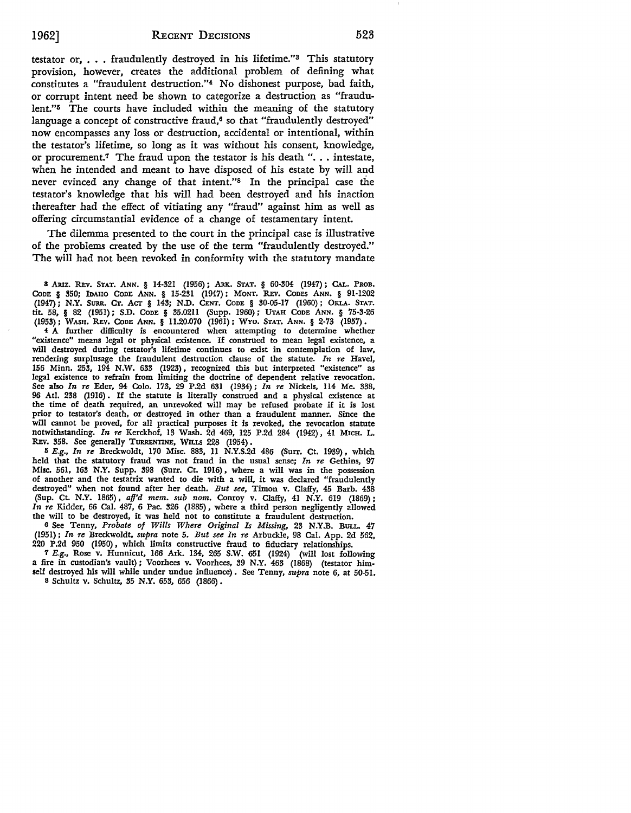testator or,  $\ldots$ , fraudulently destroyed in his lifetime."<sup>3</sup> This statutory provision, however, creates the additional problem of defining what constitutes a "fraudulent destruction."4 No dishonest purpose, bad faith, or corrupt intent need be shown to categorize a destruction as "fraudulent.''5 The courts have included within the meaning of the statutory language a concept of constructive fraud, $6$  so that "fraudulently destroyed" now encompasses any loss or destruction, accidental or intentional, within the testator's lifetime, so long as it was without his consent, knowledge, or procurement.<sup>7</sup> The fraud upon the testator is his death "... intestate, when he intended and meant to have disposed of his estate by will and never evinced any change of that intent."8 In the principal case the testator's knowledge that his will had been destroyed and his inaction thereafter had the effect of vitiating any "fraud" against him as well as offering circumstantial evidence of a change of testamentary intent.

The dilemma presented to the court in the principal case is illustrative of the problems created by the use of the term "fraudulently destroyed." The will had not been revoked in conformity with the statutory mandate

8 ARIZ. REv. STAT. ANN. § 14-321 (1956); ARK. STAT, § 60-304 (1947); CAL. PROB. CoDE § 350; IDAHO CODE ANN. § 15-231 (1947); MONT. R.Ev. CODES ANN. § 91-1202 (1947); **N.Y.** SURR. CT. Acr § 143; N.D. CENT. CoDE § 30-05-17 (1960) ; OKLA. STAT. tit. 58, § 82 (1951); S.D. CODE § 35.0211 (Supp. 1960); UTAH CODE ANN. § 75-3-26 (1953); WASH. R.Ev. CODE ANN. § 11.20.070 (1961); WYO. STAT. ANN. § 2-73 (1957).

**4 A** further difficulty is encountered when attempting to determine whether "existence" means legal or physical existence. If construed to mean legal existence, a will destroyed during testator's lifetime continues to exist in contemplation of law, rendering surplusage the fraudulent destruction clause of the statute. *In re* Havel, 156 Minn. 253, 194 N.W. 633 (1923), recognized this but interpreted "existence" as legal existence to refrain from limiting the doctrine of dependent relative revocation. See also *In re* Eder, 94 Colo. 173, 29 P.2d 631 (1934); *In re* Nickels, 114 Me. 338, 96 Atl. 238 (1916) . If the statute is literally construed and a physical existence at the time of death required, an unrevoked will may be refused probate if it is lost prior to testator's death, or destroyed in other than a fraudulent manner. Since the will cannot be proved, for all practical purposes it is revoked, the revocation statute notwithstanding. *In re* Kerckhof, 13 Wash. 2d 469, 125 P .2d 284 (1942) , 41 MICH. L. REv. 358. See generally TURRENTINE, WILLS 228 (1954).

II *E.g., In re* Breckwoldt, 170 Misc. 883, 11 N.Y.S.2d 486 (Surr. Ct. 1939), which held that the statutory fraud was not fraud in the usual sense; *In re* Gethins, 97 Misc. 561, 163 N.Y. Supp. 398 (Surr. Ct. 1916), where a will was in the possession of another and the testatrix wanted to die with a will, it was declared "fraudulently destroyed" when not found after her death. *But see,* Timon v. Clalfy, 45 Barb. 438 (Sup. Ct. N.Y. 1865), *aff'd mem. sub nom.* Conroy v. Clalfy, 41 N.Y. 619 (1869); *In re* Kidder, 66 Cal. 487, 6 Pac. 326 (1885), where a third person negligently allowed the will to be destroyed, it was held not to constitute a fraudulent destruction.

6 See Tenny, *Probate of Wills Where Original Is Missing,* 23 N.Y.B. BULL. 47 (1951); *In re* Breckwoldt, *supra* note 5. *But see In re* Arbuckle, 98 Cal. App. 2d 562, 220 P.2d 950 (1950), which limits constructive fraud to fiduciary relationships.

7 *E.g.,* Rose v. Hunnicut, 166 Ark. 134, 265 S.W. 651 (1924) (will lost following a fire in custodian's vault); Voorhees v. Voorhees, 39 N.Y. 463 (1868) (testator himself destroyed his will while under undue influence) • See Tenny, *supra* note 6, at 50-51. 8 Schultz v. Schultz, 35 **N.Y.** 653, 656 (1866) •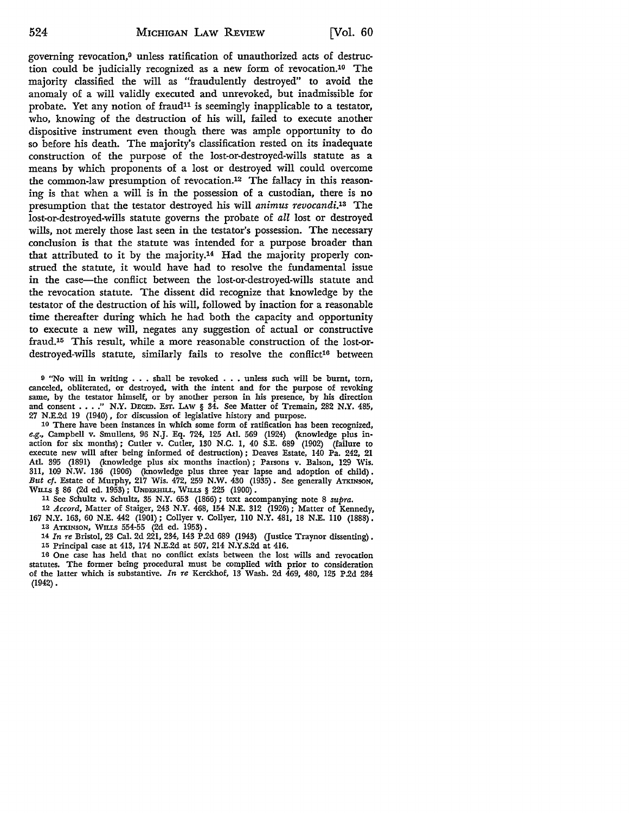governing revocation,9 unless ratification of unauthorized acts of destruction could be judicially recognized as a new form of revocation.10 The majority classified the will as "fraudulently destroyed" to avoid the anomaly of a will validly executed and unrevoked, but inadmissible for probate. Yet any notion of fraud<sup>11</sup> is seemingly inapplicable to a testator, who, knowing of the destruction of his will, failed to execute another dispositive instrument even though there was ample opportunity to do so before his death. The majority's classification rested on its inadequate construction of the purpose of the lost-or-destroyed-wills statute as a means by which proponents of a lost or destroyed will could overcome the common-law presumption of revocation.12 The fallacy in this reasoning is that when a will is in the possession of a custodian, there is no presumption that the testator destroyed his will *animus revocandi.13* The lost-or-destroyed-wills statute governs the probate of *all* lost or destroyed wills, not merely those last seen in the testator's possession. The necessary conclusion is that the statute was intended for a purpose broader than that attributed to it by the majority.14 Had the majority properly construed the statute, it would have had to resolve the fundamental issue in the case-the conflict between the lost-or-destroyed-wills statute and the revocation statute. The dissent did recognize that knowledge by the testator of the destruction of his will, followed by inaction for a reasonable time thereafter during which he had both the capacity and opportunity to execute a new will, negates any suggestion of actual or constructive fraud.15 This result, while a more reasonable construction of the lost-ordestroyed-wills statute, similarly fails to resolve the conflict<sup>16</sup> between

9 "No will in writing . . . shall be revoked . . . unless such will be burnt, torn, canceled, obliterated, or destroyed, with the intent and for the purpose of revoking same, by the testator himself, or by another person in his presence, by his direction and consent . . . . " N.Y. DECED. Esr. LAW § 34. See Matter of Tremain, 282 N.Y. 485, 27 N.E.2d 19 (1940), for discussion of legislative history and purpose.

10 There have been instances in which some form of ratification has been recognized, *e.g.,* Campbell v. Smullens, 96 N.J. Eq. 724, 125 Atl. 569 (1924) (knowledge plus inaction for six months); Cutler v. Cutler, 130 N.C. 1, 40 S.E. 689 (1902) (failure to execute new will after being informed of destruction) ; Deaves Estate, 140 Pa. 242, 21 Atl. 395 (1891) (knowledge plus six months inaction); Parsons v. Balson, 129 Wis. 311, 109 N.W. 136 (1906) (knowledge plus three year lapse and adoption of child). *But cf.* Estate of Murphy, 217 Wis. 472, 259 N.W. 430 (1935). See generally ATKINSON, WILLS § 86 (2d ed. 1953); UNDERHILL, WILLS § 225 (1900).

11 See Schultz v. Schultz, 35 N.Y. 653 (1866); text accompanying note 8 *supra.* 

12 *Accord,* Matter of Staiger, 243 N.Y. 468, 154 N.E. 312 (1926); Matter of Kennedy, 167 N.Y. 163, 60 N.E. 442 (1901); Collyer v. Collyer, 110 N.Y. 481, 18 N.E. 110 (1888). 13 ATKINSON, WILLS 554-55 (2d ed. 1953) •

14 *In re* Bristol, 23 Cal. 2d 221, 234, 143 P .2d 689 (1943) (Justice Traynor dissenting) • 15 Principal case at 413, 174 N.E.2d at 507, 214 N.Y.S.2d at 416.

16 One case has held that no conflict exists between the lost wills and revocation statutes. The former being procedural must be complied with prior to consideration of the latter which is substantive. *In re* Kerckhof, 13 Wash. 2d 469, 480, 125 P.2d 284 (1942).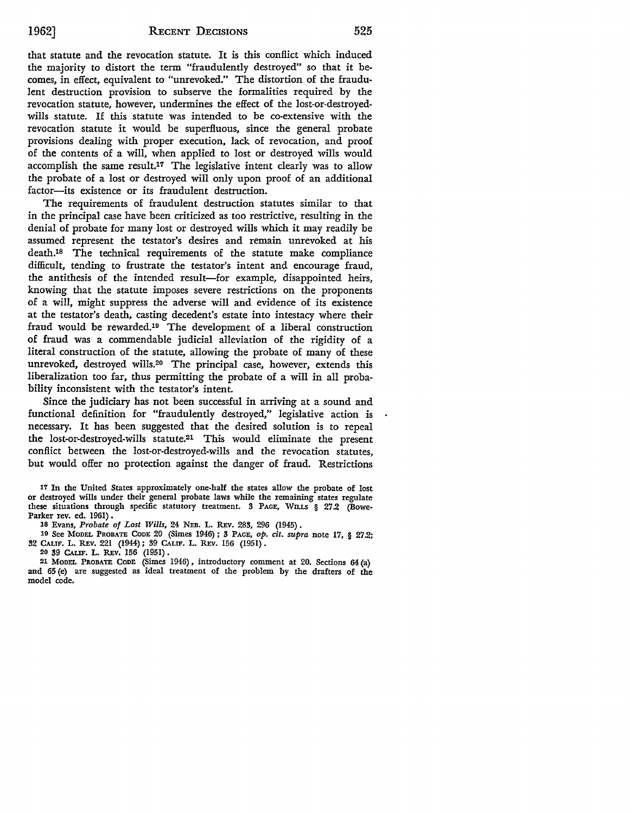that statute and the revocation statute. It is this conflict which induced the majority to distort the term "fraudulently destroyed" so that it becomes, in effect, equivalent to "unrevoked." The distortion of the fraudu**lent** destruction provision to subserve the formalities required by the revocation statute, however, undermines the effect of the lost-or-destroyedwills statute. If this statute was intended to be co-extensive with the revocation statute it would be superfluous, since the general probate provisions dealing with proper execution, lack of revocation, and proof of the contents of a will, when applied to lost or destroyed wills would accomplish the same result.17 The legislative intent clearly was to allow the probate of a lost or destroyed will only upon proof of an additional factor-its existence or its fraudulent destruction.

The requirements of fraudulent destruction statutes similar to that in the principal case have been criticized as too restrictive, resulting in the denial of probate for many lost or destroyed wills which it may readily be assumed represent the testator's desires and remain unrevoked at his death.18 The technical requirements of the statute make compliance difficult, tending to frustrate the testator's intent and encourage fraud, the antithesis of the intended result-for example, disappointed heirs, knowing that the statute imposes severe restrictions on the proponents of a will, might suppress the adverse will and evidence of its existence at the testator's death, casting decedent's estate into intestacy where their fraud would be rewarded.19 The development of a liberal construction of fraud was a commendable judicial alleviation of the rigidity of a literal construction of the statute, allowing the probate of many of these unrevoked, destroyed wills.20 The principal case, however, extends this liberalization too far, thus permitting the probate of a will in all probability inconsistent with the testator's intent.

Since the judiciary has not been successful in arriving at a sound and functional definition for "fraudulently destroyed," legislative action is necessary. It has been suggested that the desired solution is to repeal the lost-or-destroyed-wills statute.21 This would eliminate the present conflict between the lost-or-destroyed-wills and the revocation statutes, but would offer no protection against the danger of fraud. Restrictions

17 In the United States approximately one-half the states allow the probate of lost or destroyed wills under their general probate laws while the remaining states regulate these situations through specific statutory treatment. 3 PAGE, WILLS § 27.2 (Bowe-Parker rev. ed. 1961).

18 Evans, *Probate of Lost Wills,* 24 NEB. L. REv. 283, 296 (1945) •

19 See MODEL PROBATE CODE 20 (Simes 1946); 3 PAGE, *op. cit. supra* note 17, § 27.2; 32 CALIF. L. REV. 221 (1944); 39 CALIF. L. REV. 156 (1951).

20 39 CALIF. L. REv. 156 (1951) .

21 MoDEL PROBATE CODE (Simes 1946) , introductory comment at 20. Sections 64 (a) and 65 (e) are suggested as ideal treatment of the problem by the drafters of the model code.